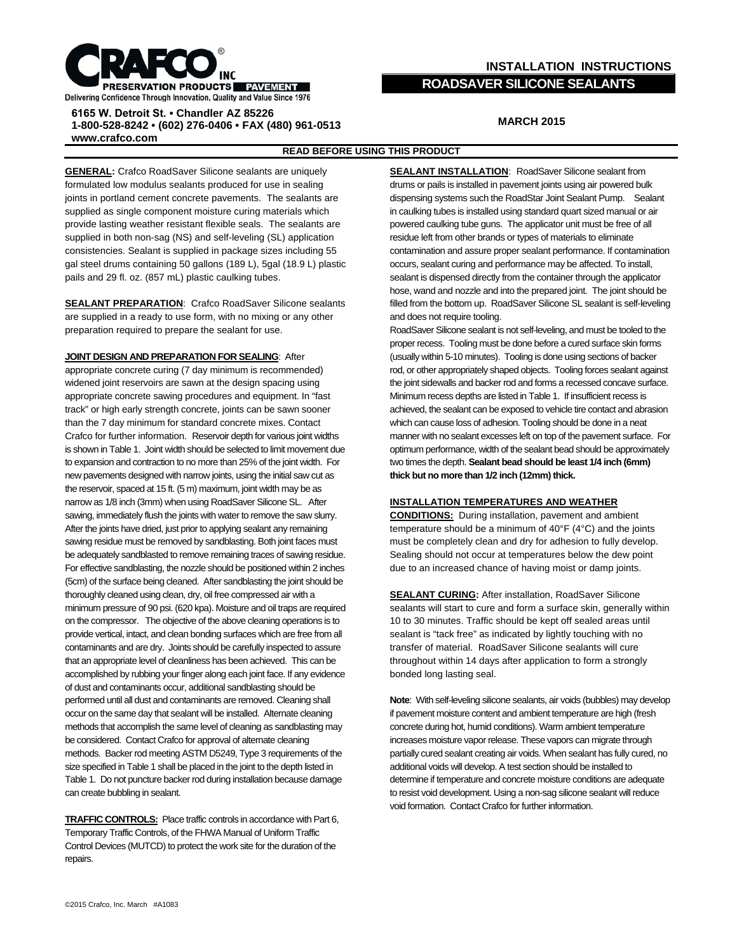

## **INSTALLATION INSTRUCTIONS ROADSAVER SILICONE SEALANTS**

### **6165 W. Detroit St. • Chandler AZ 85226 1-800-528-8242 • (602) 276-0406 • FAX (480) 961-0513 www.crafco.com**

# **MARCH 2015**

### **READ BEFORE USING THIS PRODUCT**

**GENERAL:** Crafco RoadSaver Silicone sealants are uniquely formulated low modulus sealants produced for use in sealing joints in portland cement concrete pavements. The sealants are supplied as single component moisture curing materials which provide lasting weather resistant flexible seals. The sealants are supplied in both non-sag (NS) and self-leveling (SL) application consistencies. Sealant is supplied in package sizes including 55 gal steel drums containing 50 gallons (189 L), 5gal (18.9 L) plastic pails and 29 fl. oz. (857 mL) plastic caulking tubes.

**SEALANT PREPARATION**: Crafco RoadSaver Silicone sealants are supplied in a ready to use form, with no mixing or any other preparation required to prepare the sealant for use.

#### **JOINT DESIGN AND PREPARATION FOR SEALING**: After

appropriate concrete curing (7 day minimum is recommended) widened joint reservoirs are sawn at the design spacing using appropriate concrete sawing procedures and equipment. In "fast track" or high early strength concrete, joints can be sawn sooner than the 7 day minimum for standard concrete mixes. Contact Crafco for further information. Reservoir depth for various joint widths is shown in Table 1. Joint width should be selected to limit movement due to expansion and contraction to no more than 25% of the joint width. For new pavements designed with narrow joints, using the initial saw cut as the reservoir, spaced at 15 ft. (5 m) maximum, joint width may be as narrow as 1/8 inch (3mm) when using RoadSaver Silicone SL. After sawing, immediately flush the joints with water to remove the saw slurry. After the joints have dried, just prior to applying sealant any remaining sawing residue must be removed by sandblasting. Both joint faces must be adequately sandblasted to remove remaining traces of sawing residue. For effective sandblasting, the nozzle should be positioned within 2 inches (5cm) of the surface being cleaned. After sandblasting the joint should be thoroughly cleaned using clean, dry, oil free compressed air with a minimum pressure of 90 psi. (620 kpa). Moisture and oil traps are required on the compressor. The objective of the above cleaning operations is to provide vertical, intact, and clean bonding surfaces which are free from all contaminants and are dry. Joints should be carefully inspected to assure that an appropriate level of cleanliness has been achieved. This can be accomplished by rubbing your finger along each joint face. If any evidence of dust and contaminants occur, additional sandblasting should be performed until all dust and contaminants are removed. Cleaning shall occur on the same day that sealant will be installed. Alternate cleaning methods that accomplish the same level of cleaning as sandblasting may be considered. Contact Crafco for approval of alternate cleaning methods. Backer rod meeting ASTM D5249, Type 3 requirements of the size specified in Table 1 shall be placed in the joint to the depth listed in Table 1. Do not puncture backer rod during installation because damage can create bubbling in sealant.

**TRAFFIC CONTROLS:** Place traffic controls in accordance with Part 6, Temporary Traffic Controls, of the FHWA Manual of Uniform Traffic Control Devices (MUTCD) to protect the work site for the duration of the repairs.

**SEALANT INSTALLATION: RoadSaver Silicone sealant from** drums or pails is installed in pavement joints using air powered bulk dispensing systems such the RoadStar Joint Sealant Pump. Sealant in caulking tubes is installed using standard quart sized manual or air powered caulking tube guns. The applicator unit must be free of all residue left from other brands or types of materials to eliminate contamination and assure proper sealant performance. If contamination occurs, sealant curing and performance may be affected. To install, sealant is dispensed directly from the container through the applicator hose, wand and nozzle and into the prepared joint. The joint should be filled from the bottom up. RoadSaver Silicone SL sealant is self-leveling and does not require tooling.

RoadSaver Silicone sealant is not self-leveling, and must be tooled to the proper recess. Tooling must be done before a cured surface skin forms (usually within 5-10 minutes). Tooling is done using sections of backer rod, or other appropriately shaped objects. Tooling forces sealant against the joint sidewalls and backer rod and forms a recessed concave surface. Minimum recess depths are listed in Table 1. If insufficient recess is achieved, the sealant can be exposed to vehicle tire contact and abrasion which can cause loss of adhesion. Tooling should be done in a neat manner with no sealant excesses left on top of the pavement surface. For optimum performance, width of the sealant bead should be approximately two times the depth. **Sealant bead should be least 1/4 inch (6mm) thick but no more than 1/2 inch (12mm) thick.**

#### **INSTALLATION TEMPERATURES AND WEATHER**

**CONDITIONS:** During installation, pavement and ambient temperature should be a minimum of 40°F (4°C) and the joints must be completely clean and dry for adhesion to fully develop. Sealing should not occur at temperatures below the dew point due to an increased chance of having moist or damp joints.

**SEALANT CURING:** After installation, RoadSaver Silicone sealants will start to cure and form a surface skin, generally within 10 to 30 minutes. Traffic should be kept off sealed areas until sealant is "tack free" as indicated by lightly touching with no transfer of material. RoadSaver Silicone sealants will cure throughout within 14 days after application to form a strongly bonded long lasting seal.

**Note**: With self-leveling silicone sealants, air voids (bubbles) may develop if pavement moisture content and ambient temperature are high (fresh concrete during hot, humid conditions). Warm ambient temperature increases moisture vapor release. These vapors can migrate through partially cured sealant creating air voids. When sealant has fully cured, no additional voids will develop. A test section should be installed to determine if temperature and concrete moisture conditions are adequate to resist void development. Using a non-sag silicone sealant will reduce void formation. Contact Crafco for further information.